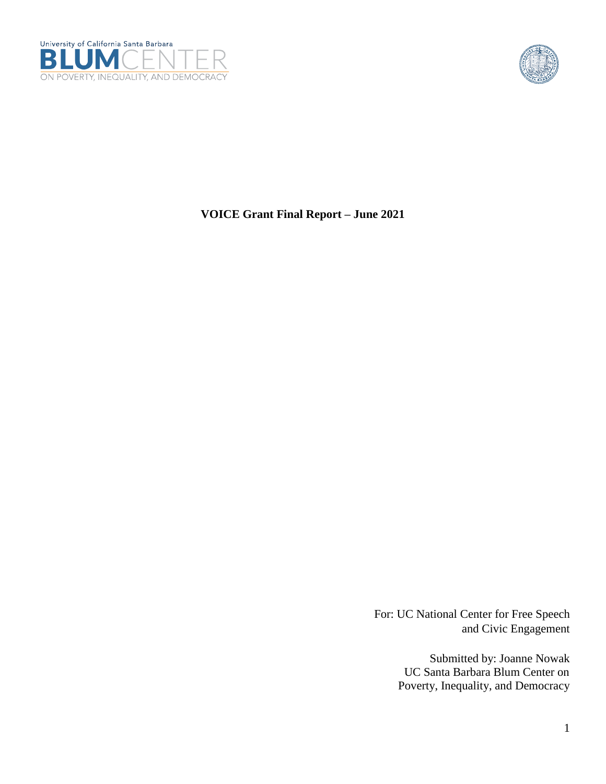



**VOICE Grant Final Report – June 2021**

For: UC National Center for Free Speech and Civic Engagement

> Submitted by: Joanne Nowak UC Santa Barbara Blum Center on Poverty, Inequality, and Democracy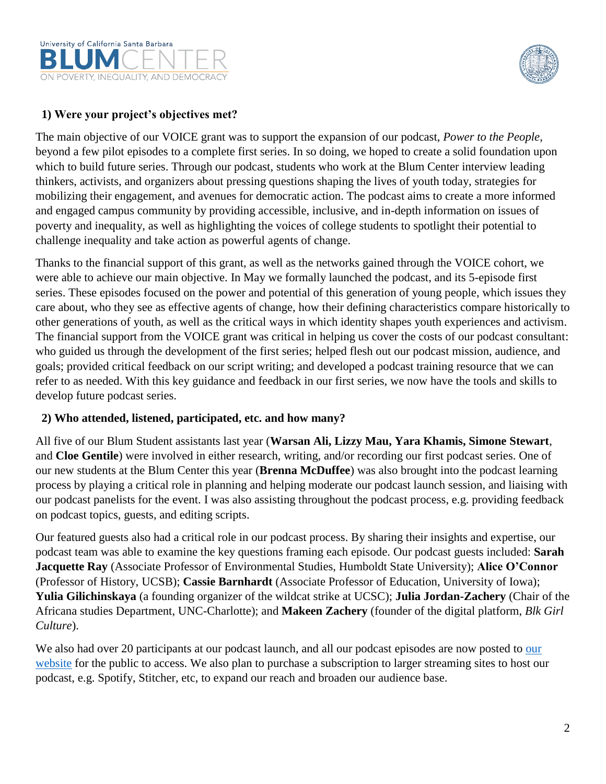



# **1) Were your project's objectives met?**

The main objective of our VOICE grant was to support the expansion of our podcast, *Power to the People*, beyond a few pilot episodes to a complete first series. In so doing, we hoped to create a solid foundation upon which to build future series. Through our podcast, students who work at the Blum Center interview leading thinkers, activists, and organizers about pressing questions shaping the lives of youth today, strategies for mobilizing their engagement, and avenues for democratic action. The podcast aims to create a more informed and engaged campus community by providing accessible, inclusive, and in-depth information on issues of poverty and inequality, as well as highlighting the voices of college students to spotlight their potential to challenge inequality and take action as powerful agents of change.

Thanks to the financial support of this grant, as well as the networks gained through the VOICE cohort, we were able to achieve our main objective. In May we formally launched the podcast, and its 5-episode first series. These episodes focused on the power and potential of this generation of young people, which issues they care about, who they see as effective agents of change, how their defining characteristics compare historically to other generations of youth, as well as the critical ways in which identity shapes youth experiences and activism. The financial support from the VOICE grant was critical in helping us cover the costs of our podcast consultant: who guided us through the development of the first series; helped flesh out our podcast mission, audience, and goals; provided critical feedback on our script writing; and developed a podcast training resource that we can refer to as needed. With this key guidance and feedback in our first series, we now have the tools and skills to develop future podcast series.

#### **2) Who attended, listened, participated, etc. and how many?**

All five of our Blum Student assistants last year (**Warsan Ali, Lizzy Mau, Yara Khamis, Simone Stewart**, and **Cloe Gentile**) were involved in either research, writing, and/or recording our first podcast series. One of our new students at the Blum Center this year (**Brenna McDuffee**) was also brought into the podcast learning process by playing a critical role in planning and helping moderate our podcast launch session, and liaising with our podcast panelists for the event. I was also assisting throughout the podcast process, e.g. providing feedback on podcast topics, guests, and editing scripts.

Our featured guests also had a critical role in our podcast process. By sharing their insights and expertise, our podcast team was able to examine the key questions framing each episode. Our podcast guests included: **Sarah Jacquette Ray** (Associate Professor of Environmental Studies, Humboldt State University); **Alice O'Connor** (Professor of History, UCSB); **Cassie Barnhardt** (Associate Professor of Education, University of Iowa); **Yulia Gilichinskaya** (a founding organizer of the wildcat strike at UCSC); **Julia Jordan-Zachery** (Chair of the Africana studies Department, UNC-Charlotte); and **Makeen Zachery** (founder of the digital platform, *Blk Girl Culture*).

We also had over 20 participants at [our](https://www.blumcenter.ucsb.edu/initiatives/podcasts) podcast launch, and all our podcast episodes are now posted to our [website](https://www.blumcenter.ucsb.edu/initiatives/podcasts) for the public to access. We also plan to purchase a subscription to larger streaming sites to host our podcast, e.g. Spotify, Stitcher, etc, to expand our reach and broaden our audience base.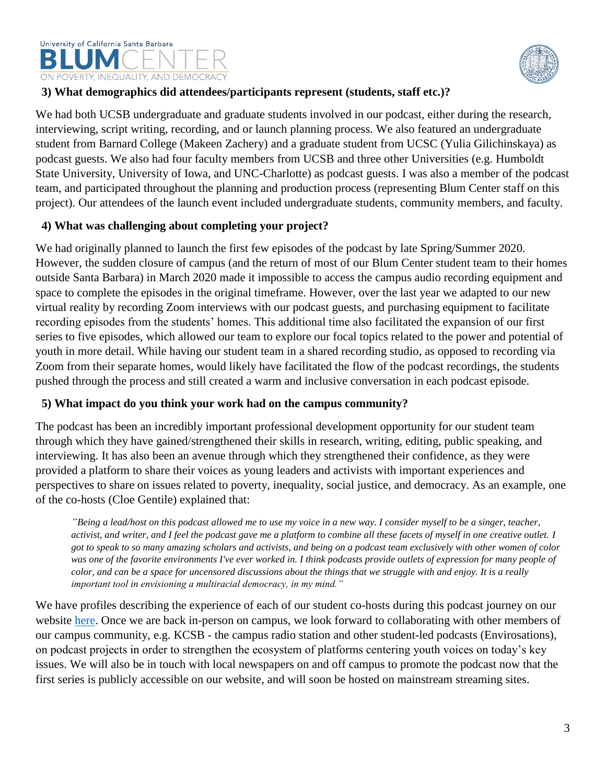# University of California Santa Barbara ON POVERTY, INEQUALITY, AND DEMOCRACY



#### **3) What demographics did attendees/participants represent (students, staff etc.)?**

We had both UCSB undergraduate and graduate students involved in our podcast, either during the research, interviewing, script writing, recording, and or launch planning process. We also featured an undergraduate student from Barnard College (Makeen Zachery) and a graduate student from UCSC (Yulia Gilichinskaya) as podcast guests. We also had four faculty members from UCSB and three other Universities (e.g. Humboldt State University, University of Iowa, and UNC-Charlotte) as podcast guests. I was also a member of the podcast team, and participated throughout the planning and production process (representing Blum Center staff on this project). Our attendees of the launch event included undergraduate students, community members, and faculty.

# **4) What was challenging about completing your project?**

We had originally planned to launch the first few episodes of the podcast by late Spring/Summer 2020. However, the sudden closure of campus (and the return of most of our Blum Center student team to their homes outside Santa Barbara) in March 2020 made it impossible to access the campus audio recording equipment and space to complete the episodes in the original timeframe. However, over the last year we adapted to our new virtual reality by recording Zoom interviews with our podcast guests, and purchasing equipment to facilitate recording episodes from the students' homes. This additional time also facilitated the expansion of our first series to five episodes, which allowed our team to explore our focal topics related to the power and potential of youth in more detail. While having our student team in a shared recording studio, as opposed to recording via Zoom from their separate homes, would likely have facilitated the flow of the podcast recordings, the students pushed through the process and still created a warm and inclusive conversation in each podcast episode.

#### **5) What impact do you think your work had on the campus community?**

The podcast has been an incredibly important professional development opportunity for our student team through which they have gained/strengthened their skills in research, writing, editing, public speaking, and interviewing. It has also been an avenue through which they strengthened their confidence, as they were provided a platform to share their voices as young leaders and activists with important experiences and perspectives to share on issues related to poverty, inequality, social justice, and democracy. As an example, one of the co-hosts (Cloe Gentile) explained that:

*"Being a lead/host on this podcast allowed me to use my voice in a new way. I consider myself to be a singer, teacher, activist, and writer, and I feel the podcast gave me a platform to combine all these facets of myself in one creative outlet. I got to speak to so many amazing scholars and activists, and being on a podcast team exclusively with other women of color was one of the favorite environments I've ever worked in. I think podcasts provide outlets of expression for many people of color, and can be a space for uncensored discussions about the things that we struggle with and enjoy. It is a really important tool in envisioning a multiracial democracy, in my mind."* 

We have profiles describing the experience of each of our student co-hosts during this podcast journey on our website [here.](https://www.blumcenter.ucsb.edu/initiatives/podcasts) Once we are back in-person on campus, we look forward to collaborating with other members of our campus community, e.g. KCSB - the campus radio station and other student-led podcasts (Envirosations), on podcast projects in order to strengthen the ecosystem of platforms centering youth voices on today's key issues. We will also be in touch with local newspapers on and off campus to promote the podcast now that the first series is publicly accessible on our website, and will soon be hosted on mainstream streaming sites.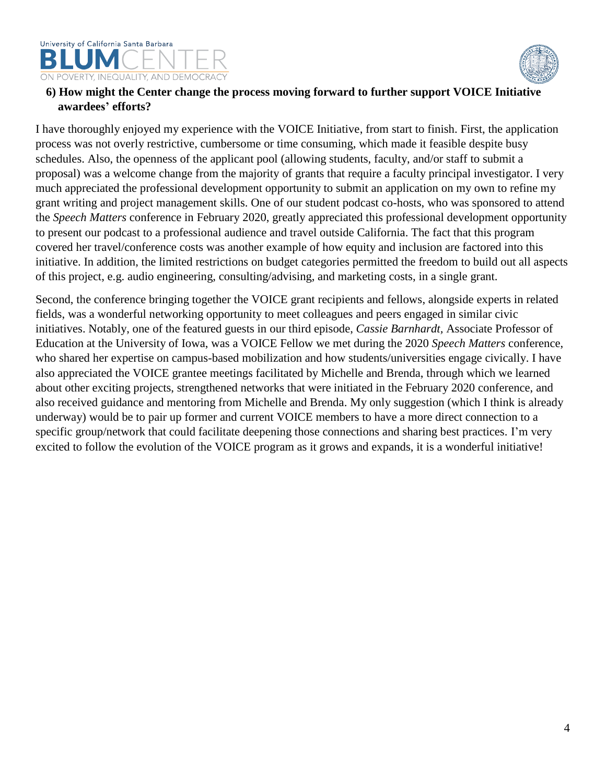

#### **6) How might the Center change the process moving forward to further support VOICE Initiative awardees' efforts?**

I have thoroughly enjoyed my experience with the VOICE Initiative, from start to finish. First, the application process was not overly restrictive, cumbersome or time consuming, which made it feasible despite busy schedules. Also, the openness of the applicant pool (allowing students, faculty, and/or staff to submit a proposal) was a welcome change from the majority of grants that require a faculty principal investigator. I very much appreciated the professional development opportunity to submit an application on my own to refine my grant writing and project management skills. One of our student podcast co-hosts, who was sponsored to attend the *Speech Matters* conference in February 2020, greatly appreciated this professional development opportunity to present our podcast to a professional audience and travel outside California. The fact that this program covered her travel/conference costs was another example of how equity and inclusion are factored into this initiative. In addition, the limited restrictions on budget categories permitted the freedom to build out all aspects of this project, e.g. audio engineering, consulting/advising, and marketing costs, in a single grant.

Second, the conference bringing together the VOICE grant recipients and fellows, alongside experts in related fields, was a wonderful networking opportunity to meet colleagues and peers engaged in similar civic initiatives. Notably, one of the featured guests in our third episode, *Cassie Barnhardt,* Associate Professor of Education at the University of Iowa, was a VOICE Fellow we met during the 2020 *Speech Matters* conference, who shared her expertise on campus-based mobilization and how students/universities engage civically. I have also appreciated the VOICE grantee meetings facilitated by Michelle and Brenda, through which we learned about other exciting projects, strengthened networks that were initiated in the February 2020 conference, and also received guidance and mentoring from Michelle and Brenda. My only suggestion (which I think is already underway) would be to pair up former and current VOICE members to have a more direct connection to a specific group/network that could facilitate deepening those connections and sharing best practices. I'm very excited to follow the evolution of the VOICE program as it grows and expands, it is a wonderful initiative!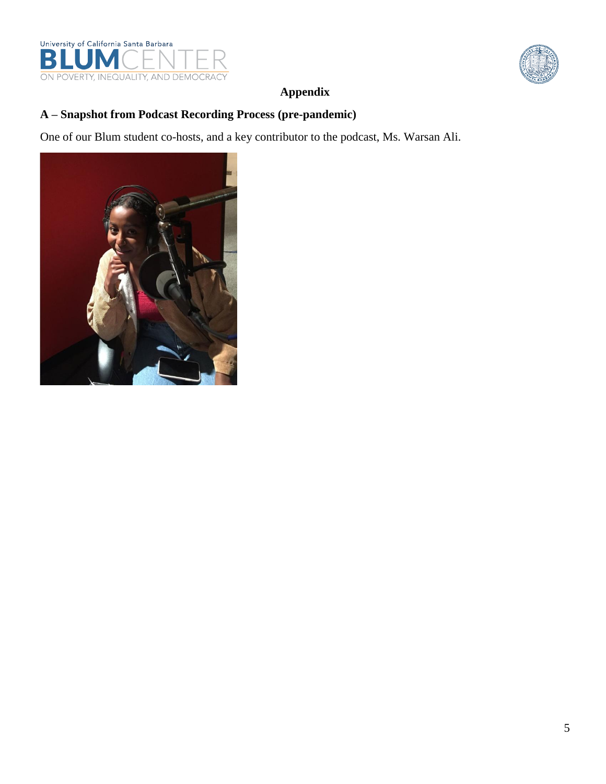



# **Appendix**

# **A – Snapshot from Podcast Recording Process (pre-pandemic)**

One of our Blum student co-hosts, and a key contributor to the podcast, Ms. Warsan Ali.

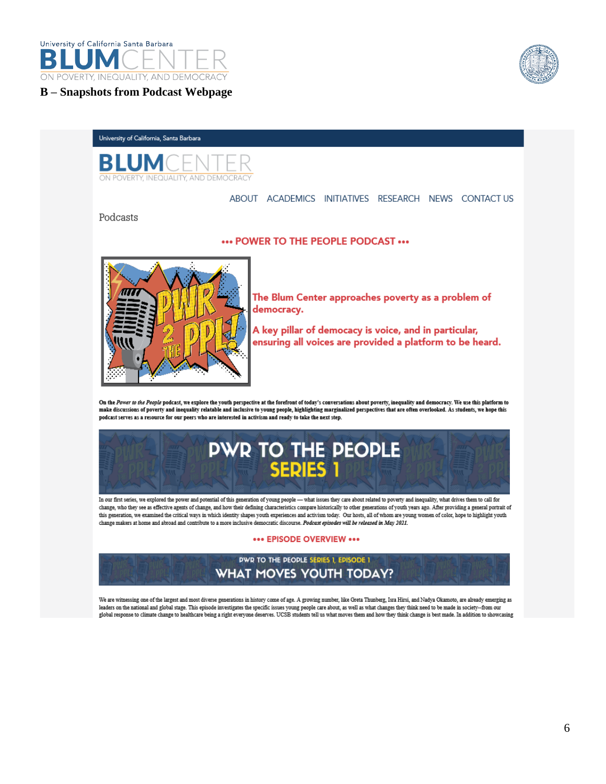

**B – Snapshots from Podcast Webpage**



# University of California, Santa Barbara **BLUM NJAHTY AND DEMOCRAC**

ABOUT ACADEMICS INITIATIVES RESEARCH NEWS CONTACTUS

#### Podcasts

#### ... POWER TO THE PEOPLE PODCAST ...



The Blum Center approaches poverty as a problem of democracy.

A key pillar of democacy is voice, and in particular, ensuring all voices are provided a platform to be heard.

On the Power to the People podcast, we explore the youth perspective at the forefront of today's conversations about poverty, inequality and democracy. We use this platform to make discussions of poverty and inequality relatable and inclusive to young people, highlighting marginalized perspectives that are often overlooked. As students, we hope this podcast serves as a resource for our peers who are interested in activism and ready to take the next step.



In our first series, we explored the power and potential of this generation of young people - what issues they care about related to poverty and inequality, what drives them to call for change, who they see as effective agents of change, and how their defining characteristics compare historically to other generations of youth years ago. After providing a general portrait of this generation, we examined the critical ways in which identity shapes youth experiences and activism today. Our hosts, all of whom are young women of color, hope to highlight youth change makers at home and abroad and contribute to a more inclusive democratic discourse. Podcast episodes will be released in May 2021.

#### \*\*\* EPISODE OVERVIEW \*\*\*

#### **DWR TO THE PEOPLE SERIES 1, EPISODE 1 WHAT MOVES YOUTH TODAY?**

We are witnessing one of the largest and most diverse generations in history come of age. A growing number, like Greta Thunberg, Isra Hirsi, and Nadya Okamoto, are already emerging as leaders on the national and global stage. This episode investigates the specific issues young people care about, as well as what changes they think need to be made in society--from our<br>global response to climate change to